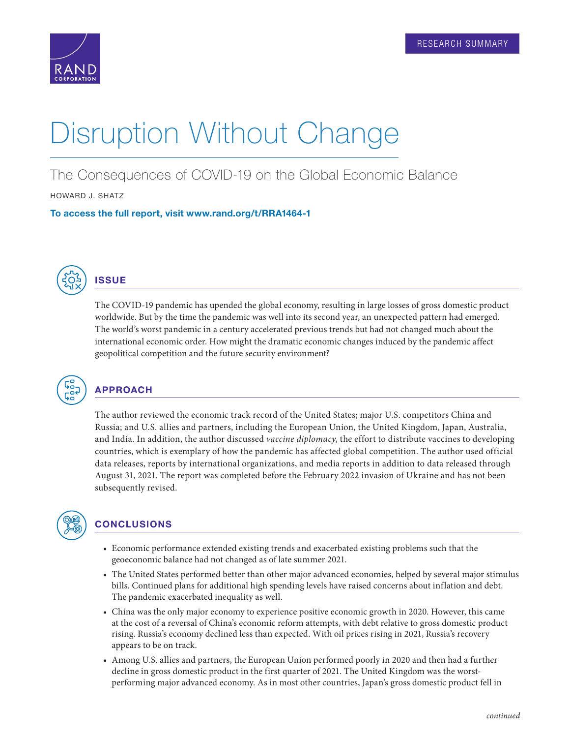

## Disruption Without Change

The Consequences of COVID-19 on the Global Economic Balance

HOWARD J. SHATZ

To access the full report, visit [www.rand.org/t/RRA1464-1](http://www.rand.org/t/RRA1464-1)



## **ISSUE**

The COVID-19 pandemic has upended the global economy, resulting in large losses of gross domestic product worldwide. But by the time the pandemic was well into its second year, an unexpected pattern had emerged. The world's worst pandemic in a century accelerated previous trends but had not changed much about the international economic order. How might the dramatic economic changes induced by the pandemic affect geopolitical competition and the future security environment?



## APPROACH

The author reviewed the economic track record of the United States; major U.S. competitors China and Russia; and U.S. allies and partners, including the European Union, the United Kingdom, Japan, Australia, and India. In addition, the author discussed *vaccine diplomacy*, the effort to distribute vaccines to developing countries, which is exemplary of how the pandemic has affected global competition. The author used official data releases, reports by international organizations, and media reports in addition to data released through August 31, 2021. The report was completed before the February 2022 invasion of Ukraine and has not been subsequently revised.



## **CONCLUSIONS**

- Economic performance extended existing trends and exacerbated existing problems such that the geoeconomic balance had not changed as of late summer 2021.
- The United States performed better than other major advanced economies, helped by several major stimulus bills. Continued plans for additional high spending levels have raised concerns about inflation and debt. The pandemic exacerbated inequality as well.
- China was the only major economy to experience positive economic growth in 2020. However, this came at the cost of a reversal of China's economic reform attempts, with debt relative to gross domestic product rising. Russia's economy declined less than expected. With oil prices rising in 2021, Russia's recovery appears to be on track.
- Among U.S. allies and partners, the European Union performed poorly in 2020 and then had a further decline in gross domestic product in the first quarter of 2021. The United Kingdom was the worstperforming major advanced economy. As in most other countries, Japan's gross domestic product fell in